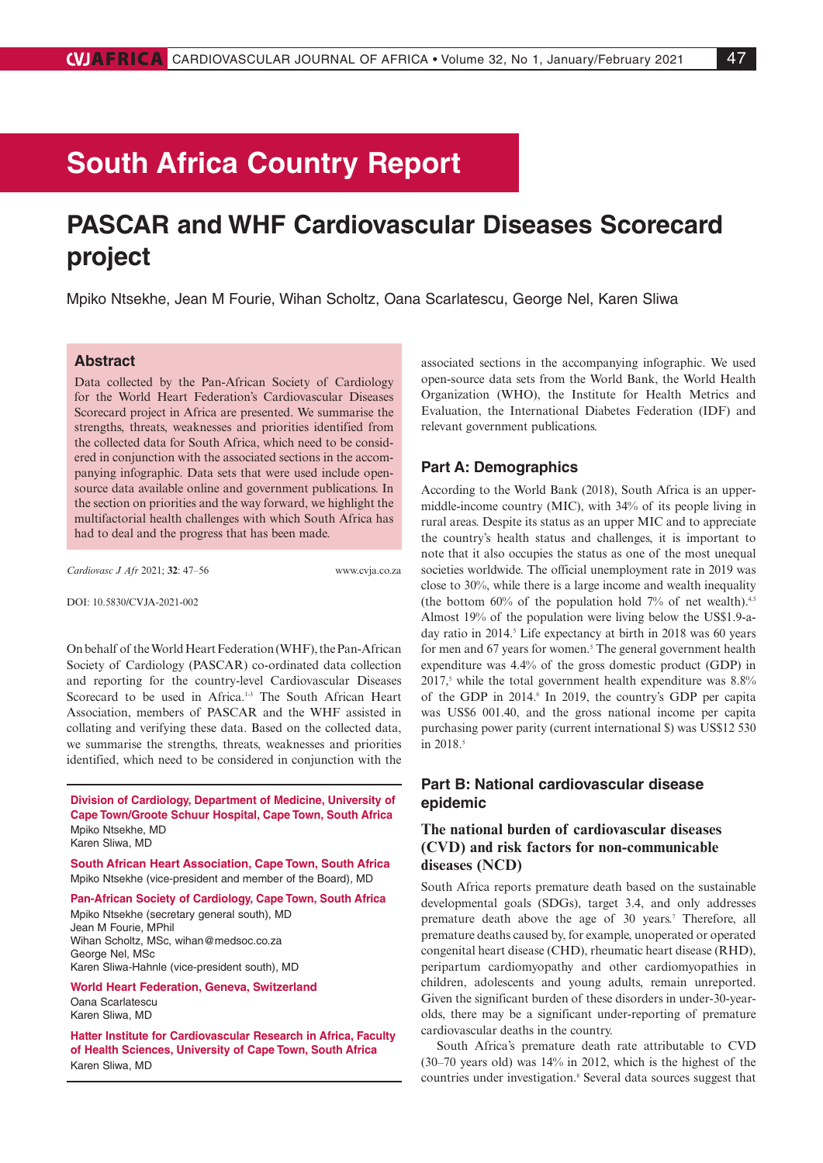# **South Africa Country Report**

## **PASCAR and WHF Cardiovascular Diseases Scorecard project**

Mpiko Ntsekhe, Jean M Fourie, Wihan Scholtz, Oana Scarlatescu, George Nel, Karen Sliwa

## **Abstract**

Data collected by the Pan-African Society of Cardiology for the World Heart Federation's Cardiovascular Diseases Scorecard project in Africa are presented. We summarise the strengths, threats, weaknesses and priorities identified from the collected data for South Africa, which need to be considered in conjunction with the associated sections in the accompanying infographic. Data sets that were used include opensource data available online and government publications. In the section on priorities and the way forward, we highlight the multifactorial health challenges with which South Africa has had to deal and the progress that has been made.

*Cardiovasc J Afr* 2021; **32**: 47–56 www.cvja.co.za

DOI: 10.5830/CVJA-2021-002

On behalf of the World Heart Federation (WHF), the Pan-African Society of Cardiology (PASCAR) co-ordinated data collection and reporting for the country-level Cardiovascular Diseases Scorecard to be used in Africa.<sup>1-3</sup> The South African Heart Association, members of PASCAR and the WHF assisted in collating and verifying these data. Based on the collected data, we summarise the strengths, threats, weaknesses and priorities identified, which need to be considered in conjunction with the

**Division of Cardiology, Department of Medicine, University of Cape Town/Groote Schuur Hospital, Cape Town, South Africa** Mpiko Ntsekhe, MD Karen Sliwa, MD

**South African Heart Association, Cape Town, South Africa** Mpiko Ntsekhe (vice-president and member of the Board), MD

**Pan-African Society of Cardiology, Cape Town, South Africa**

Mpiko Ntsekhe (secretary general south), MD Jean M Fourie, MPhil Wihan Scholtz, MSc, wihan@medsoc.co.za George Nel, MSc Karen Sliwa-Hahnle (vice-president south), MD

**World Heart Federation, Geneva, Switzerland**

Oana Scarlatescu Karen Sliwa, MD

**Hatter Institute for Cardiovascular Research in Africa, Faculty of Health Sciences, University of Cape Town, South Africa** Karen Sliwa, MD

associated sections in the accompanying infographic. We used open-source data sets from the World Bank, the World Health Organization (WHO), the Institute for Health Metrics and Evaluation, the International Diabetes Federation (IDF) and relevant government publications.

## **Part A: Demographics**

According to the World Bank (2018), South Africa is an uppermiddle-income country (MIC), with 34% of its people living in rural areas. Despite its status as an upper MIC and to appreciate the country's health status and challenges, it is important to note that it also occupies the status as one of the most unequal societies worldwide. The official unemployment rate in 2019 was close to 30%, while there is a large income and wealth inequality (the bottom  $60\%$  of the population hold  $7\%$  of net wealth).<sup>4,5</sup> Almost 19% of the population were living below the US\$1.9-aday ratio in 2014.<sup>5</sup> Life expectancy at birth in 2018 was 60 years for men and 67 years for women.<sup>5</sup> The general government health expenditure was 4.4% of the gross domestic product (GDP) in  $2017$ ,<sup>5</sup> while the total government health expenditure was  $8.8\%$ of the GDP in 2014.<sup>6</sup> In 2019, the country's GDP per capita was US\$6 001.40, and the gross national income per capita purchasing power parity (current international \$) was US\$12 530 in 2018.<sup>5</sup>

## **Part B: National cardiovascular disease epidemic**

## **The national burden of cardiovascular diseases (CVD) and risk factors for non-communicable diseases (NCD)**

South Africa reports premature death based on the sustainable developmental goals (SDGs), target 3.4, and only addresses premature death above the age of 30 years.<sup>7</sup> Therefore, all premature deaths caused by, for example, unoperated or operated congenital heart disease (CHD), rheumatic heart disease (RHD), peripartum cardiomyopathy and other cardiomyopathies in children, adolescents and young adults, remain unreported. Given the significant burden of these disorders in under-30-yearolds, there may be a significant under-reporting of premature cardiovascular deaths in the country.

South Africa's premature death rate attributable to CVD (30–70 years old) was 14% in 2012, which is the highest of the countries under investigation.<sup>8</sup> Several data sources suggest that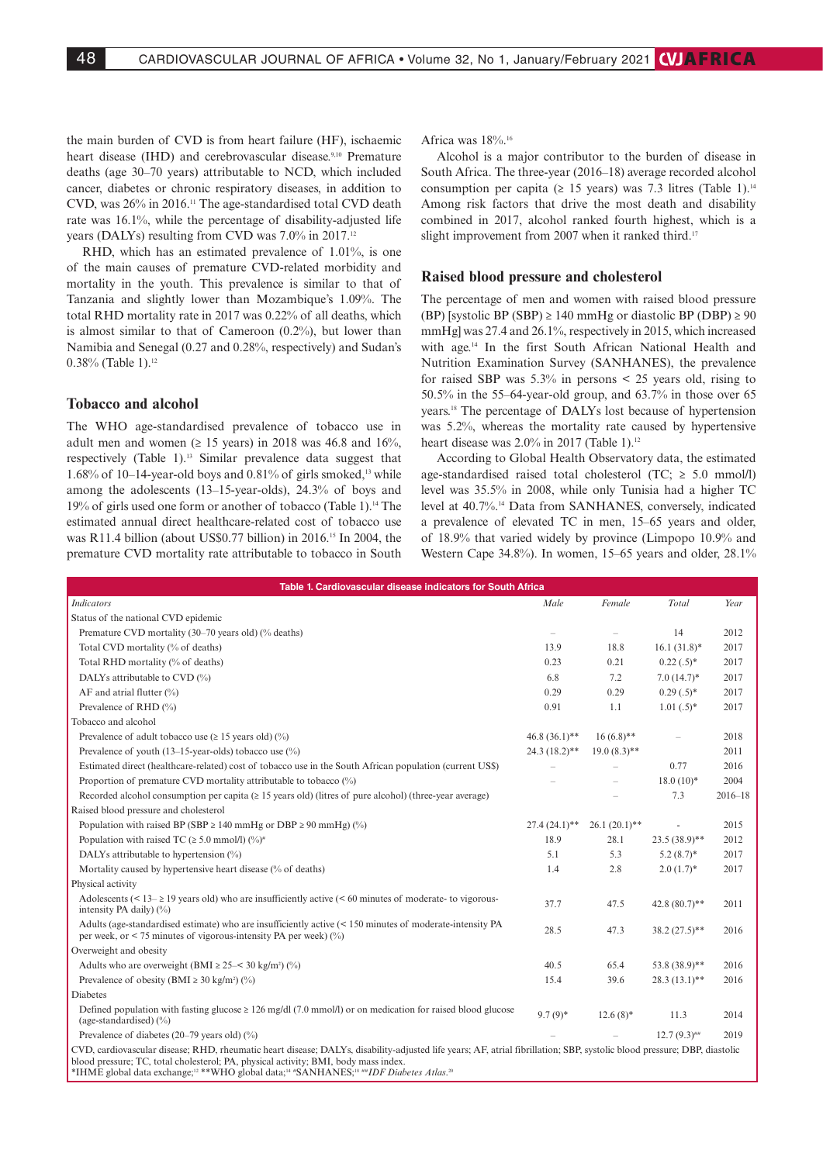the main burden of CVD is from heart failure (HF), ischaemic heart disease (IHD) and cerebrovascular disease.<sup>9,10</sup> Premature deaths (age 30–70 years) attributable to NCD, which included cancer, diabetes or chronic respiratory diseases, in addition to CVD, was 26% in 2016.11 The age-standardised total CVD death rate was 16.1%, while the percentage of disability-adjusted life years (DALYs) resulting from CVD was 7.0% in 2017.12

RHD, which has an estimated prevalence of 1.01%, is one of the main causes of premature CVD-related morbidity and mortality in the youth. This prevalence is similar to that of Tanzania and slightly lower than Mozambique's 1.09%. The total RHD mortality rate in 2017 was 0.22% of all deaths, which is almost similar to that of Cameroon (0.2%), but lower than Namibia and Senegal (0.27 and 0.28%, respectively) and Sudan's 0.38% (Table 1).<sup>12</sup>

## **Tobacco and alcohol**

The WHO age-standardised prevalence of tobacco use in adult men and women ( $\geq 15$  years) in 2018 was 46.8 and 16%, respectively (Table 1).13 Similar prevalence data suggest that 1.68% of 10–14-year-old boys and 0.81% of girls smoked,<sup>13</sup> while among the adolescents (13–15-year-olds), 24.3% of boys and 19% of girls used one form or another of tobacco (Table 1).14 The estimated annual direct healthcare-related cost of tobacco use was R11.4 billion (about US\$0.77 billion) in 2016.15 In 2004, the premature CVD mortality rate attributable to tobacco in South Africa was 18%.16

Alcohol is a major contributor to the burden of disease in South Africa. The three-year (2016–18) average recorded alcohol consumption per capita ( $\geq$  15 years) was 7.3 litres (Table 1).<sup>14</sup> Among risk factors that drive the most death and disability combined in 2017, alcohol ranked fourth highest, which is a slight improvement from 2007 when it ranked third.<sup>17</sup>

#### **Raised blood pressure and cholesterol**

The percentage of men and women with raised blood pressure (BP) [systolic BP (SBP)  $\geq$  140 mmHg or diastolic BP (DBP)  $\geq$  90 mmHg] was 27.4 and 26.1%, respectively in 2015, which increased with age.14 In the first South African National Health and Nutrition Examination Survey (SANHANES), the prevalence for raised SBP was  $5.3\%$  in persons  $\leq 25$  years old, rising to 50.5% in the 55–64-year-old group, and 63.7% in those over 65 years.18 The percentage of DALYs lost because of hypertension was 5.2%, whereas the mortality rate caused by hypertensive heart disease was 2.0% in 2017 (Table 1).<sup>12</sup>

According to Global Health Observatory data, the estimated age-standardised raised total cholesterol (TC;  $\geq$  5.0 mmol/l) level was 35.5% in 2008, while only Tunisia had a higher TC level at 40.7%.14 Data from SANHANES, conversely, indicated a prevalence of elevated TC in men, 15–65 years and older, of 18.9% that varied widely by province (Limpopo 10.9% and Western Cape 34.8%). In women, 15–65 years and older, 28.1%

| Table 1. Cardiovascular disease indicators for South Africa                                                                                                                                                                                                    |                          |                          |                  |             |
|----------------------------------------------------------------------------------------------------------------------------------------------------------------------------------------------------------------------------------------------------------------|--------------------------|--------------------------|------------------|-------------|
| <b>Indicators</b>                                                                                                                                                                                                                                              | Male                     | Female                   | Total            | Year        |
| Status of the national CVD epidemic                                                                                                                                                                                                                            |                          |                          |                  |             |
| Premature CVD mortality (30–70 years old) (% deaths)                                                                                                                                                                                                           | $\overline{\phantom{a}}$ | $\overline{\phantom{a}}$ | 14               | 2012        |
| Total CVD mortality (% of deaths)                                                                                                                                                                                                                              | 13.9                     | 18.8                     | $16.1 (31.8)^*$  | 2017        |
| Total RHD mortality (% of deaths)                                                                                                                                                                                                                              | 0.23                     | 0.21                     | $0.22(.5)^*$     | 2017        |
| DALYs attributable to CVD (%)                                                                                                                                                                                                                                  | 6.8                      | 7.2                      | $7.0(14.7)$ *    | 2017        |
| AF and atrial flutter (%)                                                                                                                                                                                                                                      | 0.29                     | 0.29                     | $0.29(.5)^*$     | 2017        |
| Prevalence of RHD (%)                                                                                                                                                                                                                                          | 0.91                     | 1.1                      | $1.01(.5)^*$     | 2017        |
| Tobacco and alcohol                                                                                                                                                                                                                                            |                          |                          |                  |             |
| Prevalence of adult tobacco use ( $\geq$ 15 years old) (%)                                                                                                                                                                                                     | $46.8(36.1)$ **          | $16(6.8)$ **             |                  | 2018        |
| Prevalence of youth $(13-15$ -year-olds) tobacco use $(\%)$                                                                                                                                                                                                    | $24.3(18.2)$ **          | $19.0(8.3)$ **           |                  | 2011        |
| Estimated direct (healthcare-related) cost of tobacco use in the South African population (current US\$)                                                                                                                                                       |                          |                          | 0.77             | 2016        |
| Proportion of premature CVD mortality attributable to tobacco (%)                                                                                                                                                                                              |                          |                          | $18.0(10)*$      | 2004        |
| Recorded alcohol consumption per capita ( $\geq 15$ years old) (litres of pure alcohol) (three-year average)                                                                                                                                                   |                          |                          | 7.3              | $2016 - 18$ |
| Raised blood pressure and cholesterol                                                                                                                                                                                                                          |                          |                          |                  |             |
| Population with raised BP (SBP $\geq$ 140 mmHg or DBP $\geq$ 90 mmHg) (%)                                                                                                                                                                                      | $27.4(24.1)$ **          | $26.1(20.1)$ **          |                  | 2015        |
| Population with raised TC ( $\geq 5.0$ mmol/l) (%) <sup>#</sup>                                                                                                                                                                                                | 18.9                     | 28.1                     | $23.5(38.9)$ **  | 2012        |
| DALYs attributable to hypertension $(\%)$                                                                                                                                                                                                                      | 5.1                      | 5.3                      | $5.2(8.7)$ *     | 2017        |
| Mortality caused by hypertensive heart disease (% of deaths)                                                                                                                                                                                                   | 1.4                      | 2.8                      | $2.0(1.7)$ *     | 2017        |
| Physical activity                                                                                                                                                                                                                                              |                          |                          |                  |             |
| Adolescents (< $13-$ ≥ 19 years old) who are insufficiently active (< 60 minutes of moderate- to vigorous-<br>intensity PA daily) $(\% )$                                                                                                                      | 37.7                     | 47.5                     | 42.8 $(80.7)$ ** | 2011        |
| Adults (age-standardised estimate) who are insufficiently active (< 150 minutes of moderate-intensity PA<br>per week, or $\leq$ 75 minutes of vigorous-intensity PA per week) (%)                                                                              | 28.5                     | 47.3                     | $38.2(27.5)$ **  | 2016        |
| Overweight and obesity                                                                                                                                                                                                                                         |                          |                          |                  |             |
| Adults who are overweight (BMI $\geq$ 25–< 30 kg/m <sup>2</sup> ) (%)                                                                                                                                                                                          | 40.5                     | 65.4                     | $53.8(38.9)$ **  | 2016        |
| Prevalence of obesity (BMI $\geq$ 30 kg/m <sup>2</sup> ) (%)                                                                                                                                                                                                   | 15.4                     | 39.6                     | $28.3(13.1)$ **  | 2016        |
| Diabetes                                                                                                                                                                                                                                                       |                          |                          |                  |             |
| Defined population with fasting glucose $\geq 126$ mg/dl (7.0 mmol/l) or on medication for raised blood glucose<br>(age-standardised) $(\% )$                                                                                                                  | $9.7(9)$ *               | $12.6(8)$ *              | 11.3             | 2014        |
| Prevalence of diabetes $(20-79 \text{ years old})$ (%)                                                                                                                                                                                                         |                          |                          | $12.7(9.3)$ ##   | 2019        |
| CVD, cardiovascular disease; RHD, rheumatic heart disease; DALYs, disability-adjusted life years; AF, atrial fibrillation; SBP, systolic blood pressure; DBP, diastolic<br>blood pressure; TC, total cholesterol; PA, physical activity; BMI, body mass index. |                          |                          |                  |             |

\*IHME global data exchange;12 \*\*WHO global data;14 #SANHANES;18 ##*IDF Diabetes Atlas*. 20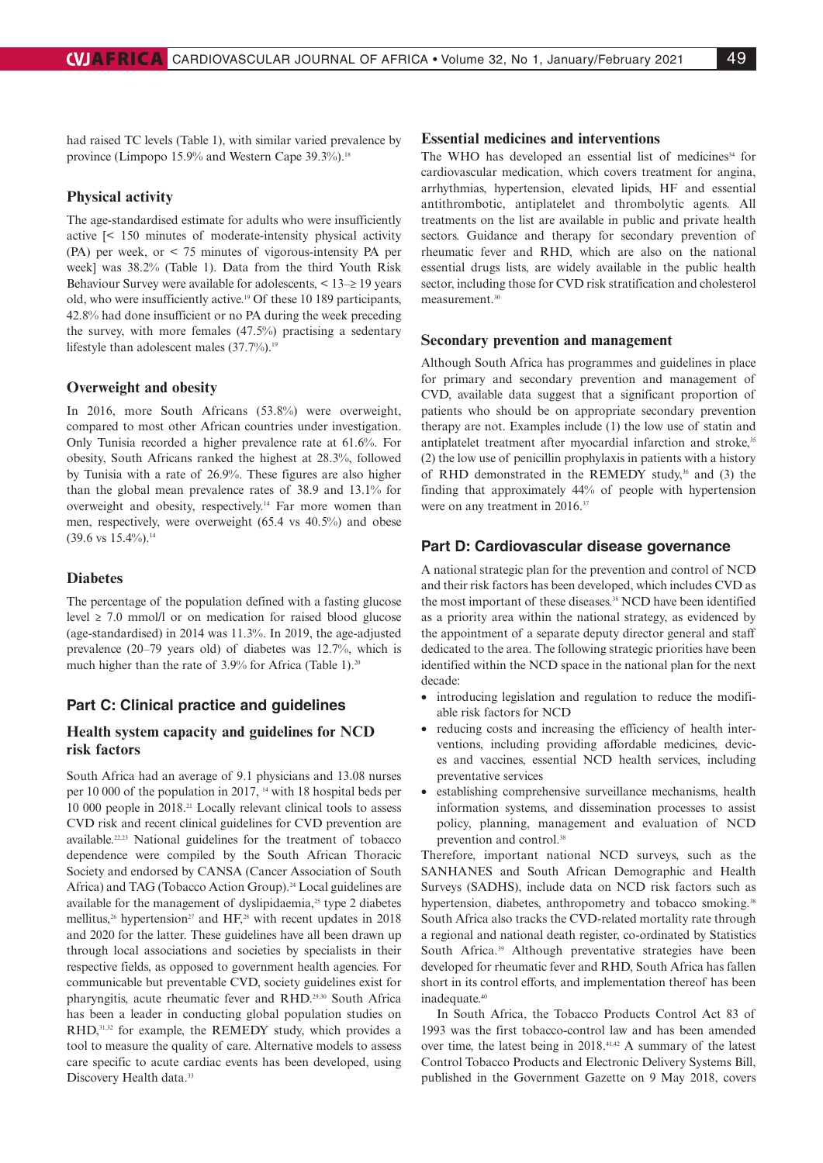had raised TC levels (Table 1), with similar varied prevalence by province (Limpopo 15.9% and Western Cape 39.3%).<sup>18</sup>

## **Physical activity**

The age-standardised estimate for adults who were insufficiently active [< 150 minutes of moderate-intensity physical activity (PA) per week, or < 75 minutes of vigorous-intensity PA per week] was 38.2% (Table 1). Data from the third Youth Risk Behaviour Survey were available for adolescents,  $\leq 13-2$  19 years old, who were insufficiently active.19 Of these 10 189 participants, 42.8% had done insufficient or no PA during the week preceding the survey, with more females (47.5%) practising a sedentary lifestyle than adolescent males  $(37.7\%)$ .<sup>19</sup>

## **Overweight and obesity**

In 2016, more South Africans (53.8%) were overweight, compared to most other African countries under investigation. Only Tunisia recorded a higher prevalence rate at 61.6%. For obesity, South Africans ranked the highest at 28.3%, followed by Tunisia with a rate of 26.9%. These figures are also higher than the global mean prevalence rates of 38.9 and 13.1% for overweight and obesity, respectively.14 Far more women than men, respectively, were overweight (65.4 vs 40.5%) and obese  $(39.6 \text{ vs } 15.4\%)$ .<sup>14</sup>

## **Diabetes**

The percentage of the population defined with a fasting glucose level ≥ 7.0 mmol/l or on medication for raised blood glucose (age-standardised) in 2014 was 11.3%. In 2019, the age-adjusted prevalence (20–79 years old) of diabetes was 12.7%, which is much higher than the rate of  $3.9\%$  for Africa (Table 1).<sup>20</sup>

## **Part C: Clinical practice and guidelines**

## **Health system capacity and guidelines for NCD risk factors**

South Africa had an average of 9.1 physicians and 13.08 nurses per 10 000 of the population in 2017, 14 with 18 hospital beds per 10 000 people in 2018.21 Locally relevant clinical tools to assess CVD risk and recent clinical guidelines for CVD prevention are available.22,23 National guidelines for the treatment of tobacco dependence were compiled by the South African Thoracic Society and endorsed by CANSA (Cancer Association of South Africa) and TAG (Tobacco Action Group).<sup>24</sup> Local guidelines are available for the management of dyslipidaemia,<sup>25</sup> type 2 diabetes mellitus,<sup>26</sup> hypertension<sup>27</sup> and HF,<sup>28</sup> with recent updates in 2018 and 2020 for the latter. These guidelines have all been drawn up through local associations and societies by specialists in their respective fields, as opposed to government health agencies. For communicable but preventable CVD, society guidelines exist for pharyngitis, acute rheumatic fever and RHD.29,30 South Africa has been a leader in conducting global population studies on RHD, 31,32 for example, the REMEDY study, which provides a tool to measure the quality of care. Alternative models to assess care specific to acute cardiac events has been developed, using Discovery Health data.<sup>33</sup>

## **Essential medicines and interventions**

The WHO has developed an essential list of medicines<sup>34</sup> for cardiovascular medication, which covers treatment for angina, arrhythmias, hypertension, elevated lipids, HF and essential antithrombotic, antiplatelet and thrombolytic agents. All treatments on the list are available in public and private health sectors. Guidance and therapy for secondary prevention of rheumatic fever and RHD, which are also on the national essential drugs lists, are widely available in the public health sector, including those for CVD risk stratification and cholesterol measurement.30

#### **Secondary prevention and management**

Although South Africa has programmes and guidelines in place for primary and secondary prevention and management of CVD, available data suggest that a significant proportion of patients who should be on appropriate secondary prevention therapy are not. Examples include (1) the low use of statin and antiplatelet treatment after myocardial infarction and stroke,<sup>35</sup> (2) the low use of penicillin prophylaxis in patients with a history of RHD demonstrated in the REMEDY study,<sup>36</sup> and (3) the finding that approximately 44% of people with hypertension were on any treatment in 2016.<sup>37</sup>

## **Part D: Cardiovascular disease governance**

A national strategic plan for the prevention and control of NCD and their risk factors has been developed, which includes CVD as the most important of these diseases.<sup>38</sup> NCD have been identified as a priority area within the national strategy, as evidenced by the appointment of a separate deputy director general and staff dedicated to the area. The following strategic priorities have been identified within the NCD space in the national plan for the next decade:

- introducing legislation and regulation to reduce the modifiable risk factors for NCD
- reducing costs and increasing the efficiency of health interventions, including providing affordable medicines, devices and vaccines, essential NCD health services, including preventative services
- establishing comprehensive surveillance mechanisms, health information systems, and dissemination processes to assist policy, planning, management and evaluation of NCD prevention and control.<sup>38</sup>

Therefore, important national NCD surveys, such as the SANHANES and South African Demographic and Health Surveys (SADHS), include data on NCD risk factors such as hypertension, diabetes, anthropometry and tobacco smoking.<sup>38</sup> South Africa also tracks the CVD-related mortality rate through a regional and national death register, co-ordinated by Statistics South Africa.<sup>39</sup> Although preventative strategies have been developed for rheumatic fever and RHD, South Africa has fallen short in its control efforts, and implementation thereof has been inadequate.40

In South Africa, the Tobacco Products Control Act 83 of 1993 was the first tobacco-control law and has been amended over time, the latest being in 2018.41,42 A summary of the latest Control Tobacco Products and Electronic Delivery Systems Bill, published in the Government Gazette on 9 May 2018, covers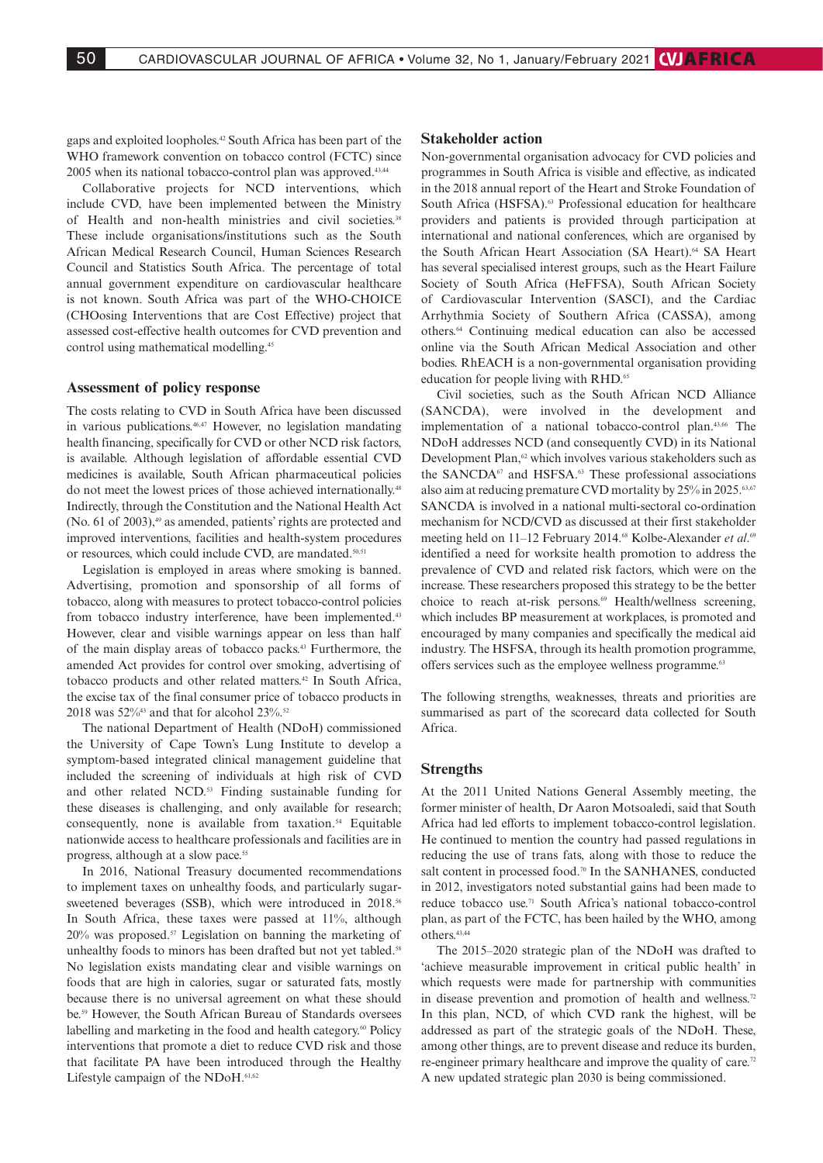gaps and exploited loopholes.42 South Africa has been part of the WHO framework convention on tobacco control (FCTC) since 2005 when its national tobacco-control plan was approved.<sup>43,44</sup>

Collaborative projects for NCD interventions, which include CVD, have been implemented between the Ministry of Health and non-health ministries and civil societies.<sup>38</sup> These include organisations/institutions such as the South African Medical Research Council, Human Sciences Research Council and Statistics South Africa. The percentage of total annual government expenditure on cardiovascular healthcare is not known. South Africa was part of the WHO-CHOICE (CHOosing Interventions that are Cost Effective) project that assessed cost-effective health outcomes for CVD prevention and control using mathematical modelling.45

## **Assessment of policy response**

The costs relating to CVD in South Africa have been discussed in various publications.46,47 However, no legislation mandating health financing, specifically for CVD or other NCD risk factors, is available. Although legislation of affordable essential CVD medicines is available, South African pharmaceutical policies do not meet the lowest prices of those achieved internationally.<sup>48</sup> Indirectly, through the Constitution and the National Health Act (No. 61 of 2003), $\frac{49}{3}$  as amended, patients' rights are protected and improved interventions, facilities and health-system procedures or resources, which could include CVD, are mandated.<sup>50,51</sup>

Legislation is employed in areas where smoking is banned. Advertising, promotion and sponsorship of all forms of tobacco, along with measures to protect tobacco-control policies from tobacco industry interference, have been implemented.<sup>43</sup> However, clear and visible warnings appear on less than half of the main display areas of tobacco packs.43 Furthermore, the amended Act provides for control over smoking, advertising of tobacco products and other related matters.42 In South Africa, the excise tax of the final consumer price of tobacco products in 2018 was  $52\%$ <sup>43</sup> and that for alcohol  $23\%$ .<sup>52</sup>

The national Department of Health (NDoH) commissioned the University of Cape Town's Lung Institute to develop a symptom-based integrated clinical management guideline that included the screening of individuals at high risk of CVD and other related NCD.<sup>53</sup> Finding sustainable funding for these diseases is challenging, and only available for research; consequently, none is available from taxation.<sup>54</sup> Equitable nationwide access to healthcare professionals and facilities are in progress, although at a slow pace.<sup>55</sup>

In 2016, National Treasury documented recommendations to implement taxes on unhealthy foods, and particularly sugarsweetened beverages (SSB), which were introduced in 2018.<sup>56</sup> In South Africa, these taxes were passed at 11%, although 20% was proposed.<sup>57</sup> Legislation on banning the marketing of unhealthy foods to minors has been drafted but not yet tabled.<sup>58</sup> No legislation exists mandating clear and visible warnings on foods that are high in calories, sugar or saturated fats, mostly because there is no universal agreement on what these should be.59 However, the South African Bureau of Standards oversees labelling and marketing in the food and health category.<sup>60</sup> Policy interventions that promote a diet to reduce CVD risk and those that facilitate PA have been introduced through the Healthy Lifestyle campaign of the NDoH.<sup>61,62</sup>

#### **Stakeholder action**

Non-governmental organisation advocacy for CVD policies and programmes in South Africa is visible and effective, as indicated in the 2018 annual report of the Heart and Stroke Foundation of South Africa (HSFSA).<sup>63</sup> Professional education for healthcare providers and patients is provided through participation at international and national conferences, which are organised by the South African Heart Association (SA Heart).<sup>64</sup> SA Heart has several specialised interest groups, such as the Heart Failure Society of South Africa (HeFFSA), South African Society of Cardiovascular Intervention (SASCI), and the Cardiac Arrhythmia Society of Southern Africa (CASSA), among others.64 Continuing medical education can also be accessed online via the South African Medical Association and other bodies. RhEACH is a non-governmental organisation providing education for people living with RHD.<sup>65</sup>

Civil societies, such as the South African NCD Alliance (SANCDA), were involved in the development and implementation of a national tobacco-control plan.43,66 The NDoH addresses NCD (and consequently CVD) in its National Development Plan,<sup>62</sup> which involves various stakeholders such as the SANCDA<sup>67</sup> and HSFSA.<sup>63</sup> These professional associations also aim at reducing premature CVD mortality by 25% in 2025.<sup>63,67</sup> SANCDA is involved in a national multi-sectoral co-ordination mechanism for NCD/CVD as discussed at their first stakeholder meeting held on 11-12 February 2014.<sup>68</sup> Kolbe-Alexander et al.<sup>69</sup> identified a need for worksite health promotion to address the prevalence of CVD and related risk factors, which were on the increase. These researchers proposed this strategy to be the better choice to reach at-risk persons.<sup>69</sup> Health/wellness screening, which includes BP measurement at workplaces, is promoted and encouraged by many companies and specifically the medical aid industry. The HSFSA, through its health promotion programme, offers services such as the employee wellness programme.<sup>63</sup>

The following strengths, weaknesses, threats and priorities are summarised as part of the scorecard data collected for South Africa.

## **Strengths**

At the 2011 United Nations General Assembly meeting, the former minister of health, Dr Aaron Motsoaledi, said that South Africa had led efforts to implement tobacco-control legislation. He continued to mention the country had passed regulations in reducing the use of trans fats, along with those to reduce the salt content in processed food.<sup>70</sup> In the SANHANES, conducted in 2012, investigators noted substantial gains had been made to reduce tobacco use.71 South Africa's national tobacco-control plan, as part of the FCTC, has been hailed by the WHO, among others.43,44

The 2015–2020 strategic plan of the NDoH was drafted to 'achieve measurable improvement in critical public health' in which requests were made for partnership with communities in disease prevention and promotion of health and wellness.<sup>72</sup> In this plan, NCD, of which CVD rank the highest, will be addressed as part of the strategic goals of the NDoH. These, among other things, are to prevent disease and reduce its burden, re-engineer primary healthcare and improve the quality of care.<sup>72</sup> A new updated strategic plan 2030 is being commissioned.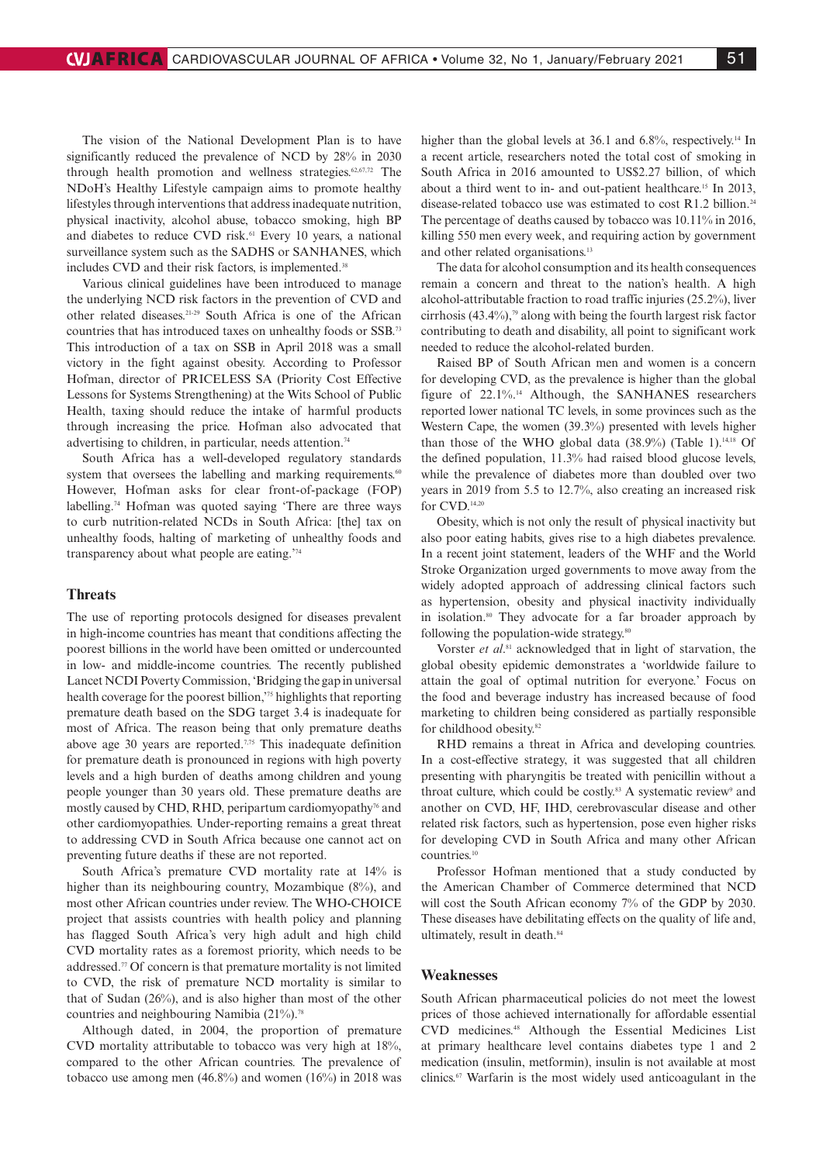The vision of the National Development Plan is to have significantly reduced the prevalence of NCD by 28% in 2030 through health promotion and wellness strategies.<sup>62,67,72</sup> The NDoH's Healthy Lifestyle campaign aims to promote healthy lifestyles through interventions that address inadequate nutrition, physical inactivity, alcohol abuse, tobacco smoking, high BP and diabetes to reduce CVD risk.<sup>61</sup> Every 10 years, a national surveillance system such as the SADHS or SANHANES, which includes CVD and their risk factors, is implemented.<sup>38</sup>

Various clinical guidelines have been introduced to manage the underlying NCD risk factors in the prevention of CVD and other related diseases.21-29 South Africa is one of the African countries that has introduced taxes on unhealthy foods or SSB.73 This introduction of a tax on SSB in April 2018 was a small victory in the fight against obesity. According to Professor Hofman, director of PRICELESS SA (Priority Cost Effective Lessons for Systems Strengthening) at the Wits School of Public Health, taxing should reduce the intake of harmful products through increasing the price. Hofman also advocated that advertising to children, in particular, needs attention.<sup>74</sup>

South Africa has a well-developed regulatory standards system that oversees the labelling and marking requirements.<sup>60</sup> However, Hofman asks for clear front-of-package (FOP) labelling.74 Hofman was quoted saying 'There are three ways to curb nutrition-related NCDs in South Africa: [the] tax on unhealthy foods, halting of marketing of unhealthy foods and transparency about what people are eating.'74

## **Threats**

The use of reporting protocols designed for diseases prevalent in high-income countries has meant that conditions affecting the poorest billions in the world have been omitted or undercounted in low- and middle-income countries. The recently published Lancet NCDI Poverty Commission, 'Bridging the gap in universal health coverage for the poorest billion,'75 highlights that reporting premature death based on the SDG target 3.4 is inadequate for most of Africa. The reason being that only premature deaths above age 30 years are reported.7,75 This inadequate definition for premature death is pronounced in regions with high poverty levels and a high burden of deaths among children and young people younger than 30 years old. These premature deaths are mostly caused by CHD, RHD, peripartum cardiomyopathy<sup>76</sup> and other cardiomyopathies. Under-reporting remains a great threat to addressing CVD in South Africa because one cannot act on preventing future deaths if these are not reported.

South Africa's premature CVD mortality rate at 14% is higher than its neighbouring country, Mozambique (8%), and most other African countries under review. The WHO-CHOICE project that assists countries with health policy and planning has flagged South Africa's very high adult and high child CVD mortality rates as a foremost priority, which needs to be addressed.77 Of concern is that premature mortality is not limited to CVD, the risk of premature NCD mortality is similar to that of Sudan (26%), and is also higher than most of the other countries and neighbouring Namibia (21%).<sup>78</sup>

Although dated, in 2004, the proportion of premature CVD mortality attributable to tobacco was very high at 18%, compared to the other African countries. The prevalence of tobacco use among men (46.8%) and women (16%) in 2018 was higher than the global levels at 36.1 and 6.8%, respectively.<sup>14</sup> In a recent article, researchers noted the total cost of smoking in South Africa in 2016 amounted to US\$2.27 billion, of which about a third went to in- and out-patient healthcare.15 In 2013, disease-related tobacco use was estimated to cost R1.2 billion.<sup>24</sup> The percentage of deaths caused by tobacco was 10.11% in 2016, killing 550 men every week, and requiring action by government and other related organisations.13

The data for alcohol consumption and its health consequences remain a concern and threat to the nation's health. A high alcohol-attributable fraction to road traffic injuries (25.2%), liver cirrhosis  $(43.4\%)$ ,<sup>79</sup> along with being the fourth largest risk factor contributing to death and disability, all point to significant work needed to reduce the alcohol-related burden.

Raised BP of South African men and women is a concern for developing CVD, as the prevalence is higher than the global figure of 22.1%.14 Although, the SANHANES researchers reported lower national TC levels, in some provinces such as the Western Cape, the women (39.3%) presented with levels higher than those of the WHO global data  $(38.9\%)$  (Table 1).<sup>14,18</sup> Of the defined population, 11.3% had raised blood glucose levels, while the prevalence of diabetes more than doubled over two years in 2019 from 5.5 to 12.7%, also creating an increased risk for CVD.14,20

Obesity, which is not only the result of physical inactivity but also poor eating habits, gives rise to a high diabetes prevalence. In a recent joint statement, leaders of the WHF and the World Stroke Organization urged governments to move away from the widely adopted approach of addressing clinical factors such as hypertension, obesity and physical inactivity individually in isolation.<sup>80</sup> They advocate for a far broader approach by following the population-wide strategy.80

Vorster *et al*. 81 acknowledged that in light of starvation, the global obesity epidemic demonstrates a 'worldwide failure to attain the goal of optimal nutrition for everyone.' Focus on the food and beverage industry has increased because of food marketing to children being considered as partially responsible for childhood obesity.<sup>82</sup>

RHD remains a threat in Africa and developing countries. In a cost-effective strategy, it was suggested that all children presenting with pharyngitis be treated with penicillin without a throat culture, which could be costly.<sup>83</sup> A systematic review<sup>9</sup> and another on CVD, HF, IHD, cerebrovascular disease and other related risk factors, such as hypertension, pose even higher risks for developing CVD in South Africa and many other African countries.10

Professor Hofman mentioned that a study conducted by the American Chamber of Commerce determined that NCD will cost the South African economy 7% of the GDP by 2030. These diseases have debilitating effects on the quality of life and, ultimately, result in death.<sup>84</sup>

## **Weaknesses**

South African pharmaceutical policies do not meet the lowest prices of those achieved internationally for affordable essential CVD medicines.48 Although the Essential Medicines List at primary healthcare level contains diabetes type 1 and 2 medication (insulin, metformin), insulin is not available at most clinics.67 Warfarin is the most widely used anticoagulant in the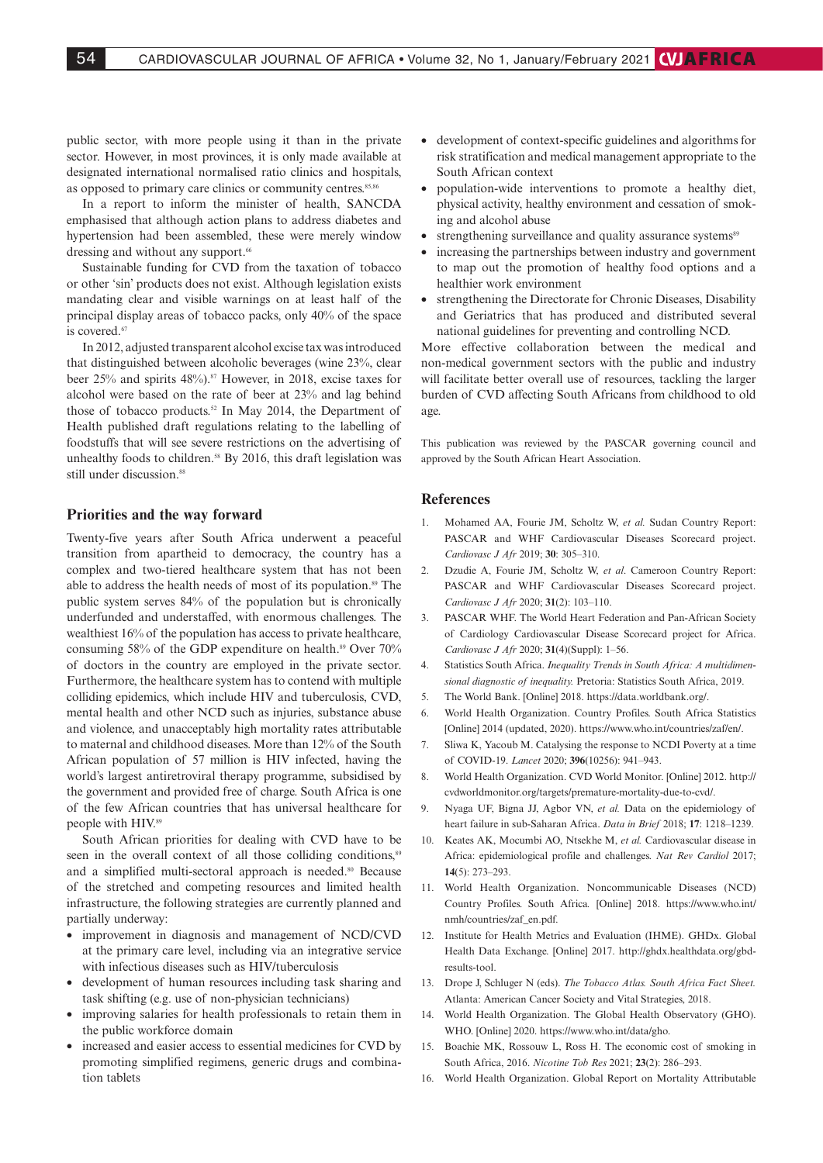public sector, with more people using it than in the private sector. However, in most provinces, it is only made available at designated international normalised ratio clinics and hospitals, as opposed to primary care clinics or community centres.<sup>85,86</sup>

In a report to inform the minister of health, SANCDA emphasised that although action plans to address diabetes and hypertension had been assembled, these were merely window dressing and without any support.<sup>66</sup>

Sustainable funding for CVD from the taxation of tobacco or other 'sin' products does not exist. Although legislation exists mandating clear and visible warnings on at least half of the principal display areas of tobacco packs, only 40% of the space is covered.<sup>67</sup>

In 2012, adjusted transparent alcohol excise tax was introduced that distinguished between alcoholic beverages (wine 23%, clear beer 25% and spirits 48%).<sup>87</sup> However, in 2018, excise taxes for alcohol were based on the rate of beer at 23% and lag behind those of tobacco products.52 In May 2014, the Department of Health published draft regulations relating to the labelling of foodstuffs that will see severe restrictions on the advertising of unhealthy foods to children.<sup>58</sup> By 2016, this draft legislation was still under discussion.<sup>88</sup>

## **Priorities and the way forward**

Twenty-five years after South Africa underwent a peaceful transition from apartheid to democracy, the country has a complex and two-tiered healthcare system that has not been able to address the health needs of most of its population.<sup>89</sup> The public system serves 84% of the population but is chronically underfunded and understaffed, with enormous challenges. The wealthiest 16% of the population has access to private healthcare, consuming 58% of the GDP expenditure on health.<sup>89</sup> Over  $70\%$ of doctors in the country are employed in the private sector. Furthermore, the healthcare system has to contend with multiple colliding epidemics, which include HIV and tuberculosis, CVD, mental health and other NCD such as injuries, substance abuse and violence, and unacceptably high mortality rates attributable to maternal and childhood diseases. More than 12% of the South African population of 57 million is HIV infected, having the world's largest antiretroviral therapy programme, subsidised by the government and provided free of charge. South Africa is one of the few African countries that has universal healthcare for people with HIV.89

South African priorities for dealing with CVD have to be seen in the overall context of all those colliding conditions.<sup>89</sup> and a simplified multi-sectoral approach is needed.<sup>80</sup> Because of the stretched and competing resources and limited health infrastructure, the following strategies are currently planned and partially underway:

- improvement in diagnosis and management of NCD/CVD at the primary care level, including via an integrative service with infectious diseases such as HIV/tuberculosis
- development of human resources including task sharing and task shifting (e.g. use of non-physician technicians)
- improving salaries for health professionals to retain them in the public workforce domain
- increased and easier access to essential medicines for CVD by promoting simplified regimens, generic drugs and combination tablets
- development of context-specific guidelines and algorithms for risk stratification and medical management appropriate to the South African context
- population-wide interventions to promote a healthy diet, physical activity, healthy environment and cessation of smoking and alcohol abuse
- strengthening surveillance and quality assurance systems<sup>89</sup>
- increasing the partnerships between industry and government to map out the promotion of healthy food options and a healthier work environment
- strengthening the Directorate for Chronic Diseases, Disability and Geriatrics that has produced and distributed several national guidelines for preventing and controlling NCD.

More effective collaboration between the medical and non-medical government sectors with the public and industry will facilitate better overall use of resources, tackling the larger burden of CVD affecting South Africans from childhood to old age.

This publication was reviewed by the PASCAR governing council and approved by the South African Heart Association.

## **References**

- 1. Mohamed AA, Fourie JM, Scholtz W, *et al.* Sudan Country Report: PASCAR and WHF Cardiovascular Diseases Scorecard project. *Cardiovasc J Afr* 2019; **30**: 305–310.
- 2. Dzudie A, Fourie JM, Scholtz W, *et al*. Cameroon Country Report: PASCAR and WHF Cardiovascular Diseases Scorecard project. *Cardiovasc J Afr* 2020; **31**(2): 103–110.
- 3. PASCAR WHF. The World Heart Federation and Pan-African Society of Cardiology Cardiovascular Disease Scorecard project for Africa. *Cardiovasc J Afr* 2020; **31**(4)(Suppl): 1–56.
- 4. Statistics South Africa. *Inequality Trends in South Africa: A multidimensional diagnostic of inequality.* Pretoria: Statistics South Africa, 2019.
- 5. The World Bank. [Online] 2018. https://data.worldbank.org/.
- 6. World Health Organization. Country Profiles. South Africa Statistics [Online] 2014 (updated, 2020). https://www.who.int/countries/zaf/en/.
- 7. Sliwa K, Yacoub M. Catalysing the response to NCDI Poverty at a time of COVID-19. *Lancet* 2020; **396**(10256): 941–943.
- 8. World Health Organization. CVD World Monitor. [Online] 2012. http:// cvdworldmonitor.org/targets/premature-mortality-due-to-cvd/.
- 9. Nyaga UF, Bigna JJ, Agbor VN, *et al.* Data on the epidemiology of heart failure in sub-Saharan Africa. *Data in Brief* 2018; **17**: 1218–1239.
- 10. Keates AK, Mocumbi AO, Ntsekhe M, *et al.* Cardiovascular disease in Africa: epidemiological profile and challenges. *Nat Rev Cardiol* 2017; **14**(5): 273–293.
- 11. World Health Organization. Noncommunicable Diseases (NCD) Country Profiles. South Africa*.* [Online] 2018. https://www.who.int/ nmh/countries/zaf\_en.pdf.
- 12. Institute for Health Metrics and Evaluation (IHME). GHDx. Global Health Data Exchange. [Online] 2017. http://ghdx.healthdata.org/gbdresults-tool.
- 13. Drope J, Schluger N (eds). *The Tobacco Atlas. South Africa Fact Sheet.*  Atlanta: American Cancer Society and Vital Strategies, 2018.
- 14. World Health Organization. The Global Health Observatory (GHO). WHO. [Online] 2020. https://www.who.int/data/gho.
- 15. Boachie MK, Rossouw L, Ross H. The economic cost of smoking in South Africa, 2016. *Nicotine Tob Res* 2021; **23**(2): 286–293.
- 16. World Health Organization. Global Report on Mortality Attributable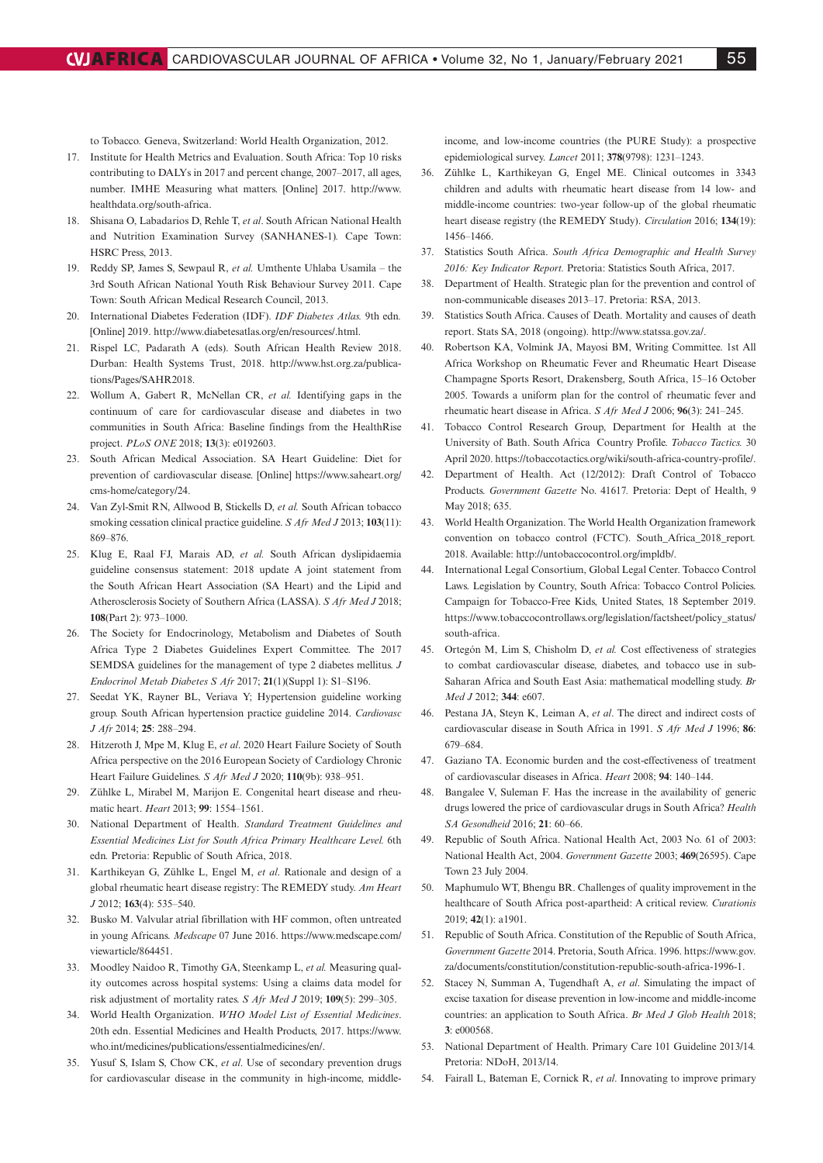to Tobacco*.* Geneva, Switzerland: World Health Organization, 2012.

- 17. Institute for Health Metrics and Evaluation. South Africa: Top 10 risks contributing to DALYs in 2017 and percent change, 2007–2017, all ages, number. IMHE Measuring what matters. [Online] 2017. http://www. healthdata.org/south-africa.
- 18. Shisana O, Labadarios D, Rehle T, *et al*. South African National Health and Nutrition Examination Survey (SANHANES-1)*.* Cape Town: HSRC Press, 2013.
- 19. Reddy SP, James S, Sewpaul R, *et al.* Umthente Uhlaba Usamila the 3rd South African National Youth Risk Behaviour Survey 2011*.* Cape Town: South African Medical Research Council, 2013.
- 20. International Diabetes Federation (IDF). *IDF Diabetes Atlas.* 9th edn*.*  [Online] 2019. http://www.diabetesatlas.org/en/resources/.html.
- 21. Rispel LC, Padarath A (eds). South African Health Review 2018. Durban: Health Systems Trust, 2018. http://www.hst.org.za/publications/Pages/SAHR2018.
- 22. Wollum A, Gabert R, McNellan CR, *et al.* Identifying gaps in the continuum of care for cardiovascular disease and diabetes in two communities in South Africa: Baseline findings from the HealthRise project. *PLoS ONE* 2018; **13**(3): e0192603.
- 23. South African Medical Association. SA Heart Guideline: Diet for prevention of cardiovascular disease. [Online] https://www.saheart.org/ cms-home/category/24.
- 24. Van Zyl-Smit RN, Allwood B, Stickells D, *et al.* South African tobacco smoking cessation clinical practice guideline. *S Afr Med J* 2013; **103**(11): 869–876.
- 25. Klug E, Raal FJ, Marais AD, *et al.* South African dyslipidaemia guideline consensus statement: 2018 update A joint statement from the South African Heart Association (SA Heart) and the Lipid and Atherosclerosis Society of Southern Africa (LASSA). *S Afr Med J* 2018; **108**(Part 2): 973–1000.
- 26. The Society for Endocrinology, Metabolism and Diabetes of South Africa Type 2 Diabetes Guidelines Expert Committee. The 2017 SEMDSA guidelines for the management of type 2 diabetes mellitus. *J Endocrinol Metab Diabetes S Afr* 2017; **21**(1)(Suppl 1): S1–S196.
- 27. Seedat YK, Rayner BL, Veriava Y; Hypertension guideline working group. South African hypertension practice guideline 2014. *Cardiovasc J Afr* 2014; **25**: 288–294.
- 28. Hitzeroth J, Mpe M, Klug E, *et al*. 2020 Heart Failure Society of South Africa perspective on the 2016 European Society of Cardiology Chronic Heart Failure Guidelines. *S Afr Med J* 2020; **110**(9b): 938–951.
- 29. Zühlke L, Mirabel M, Marijon E. Congenital heart disease and rheumatic heart. *Heart* 2013; **99**: 1554–1561.
- 30. National Department of Health. *Standard Treatment Guidelines and Essential Medicines List for South Africa Primary Healthcare Level.* 6th edn*.* Pretoria: Republic of South Africa, 2018.
- 31. Karthikeyan G, Zühlke L, Engel M, *et al*. Rationale and design of a global rheumatic heart disease registry: The REMEDY study. *Am Heart J* 2012; **163**(4): 535–540.
- 32. Busko M. Valvular atrial fibrillation with HF common, often untreated in young Africans. *Medscape* 07 June 2016. https://www.medscape.com/ viewarticle/864451.
- 33. Moodley Naidoo R, Timothy GA, Steenkamp L, *et al.* Measuring quality outcomes across hospital systems: Using a claims data model for risk adjustment of mortality rates. *S Afr Med J* 2019; **109**(5): 299–305.
- 34. World Health Organization. *WHO Model List of Essential Medicines*. 20th edn. Essential Medicines and Health Products, 2017. https://www. who.int/medicines/publications/essentialmedicines/en/.
- 35. Yusuf S, Islam S, Chow CK, *et al*. Use of secondary prevention drugs for cardiovascular disease in the community in high-income, middle-

income, and low-income countries (the PURE Study): a prospective epidemiological survey. *Lancet* 2011; **378**(9798): 1231–1243.

- 36. Zühlke L, Karthikeyan G, Engel ME. Clinical outcomes in 3343 children and adults with rheumatic heart disease from 14 low- and middle-income countries: two-year follow-up of the global rheumatic heart disease registry (the REMEDY Study). *Circulation* 2016; **134**(19): 1456–1466.
- 37. Statistics South Africa. *South Africa Demographic and Health Survey 2016: Key Indicator Report.* Pretoria: Statistics South Africa, 2017.
- 38. Department of Health. Strategic plan for the prevention and control of non-communicable diseases 2013–17. Pretoria: RSA, 2013.
- 39. Statistics South Africa. Causes of Death. Mortality and causes of death report. Stats SA, 2018 (ongoing). http://www.statssa.gov.za/.
- 40. Robertson KA, Volmink JA, Mayosi BM, Writing Committee. 1st All Africa Workshop on Rheumatic Fever and Rheumatic Heart Disease Champagne Sports Resort, Drakensberg, South Africa, 15–16 October 2005. Towards a uniform plan for the control of rheumatic fever and rheumatic heart disease in Africa. *S Afr Med J* 2006; **96**(3): 241–245.
- 41. Tobacco Control Research Group, Department for Health at the University of Bath. South Africa Country Profile. *Tobacco Tactics.* 30 April 2020. https://tobaccotactics.org/wiki/south-africa-country-profile/.
- 42. Department of Health. Act (12/2012): Draft Control of Tobacco Products. *Government Gazette* No. 41617*.* Pretoria: Dept of Health, 9 May 2018: 635
- 43. World Health Organization. The World Health Organization framework convention on tobacco control (FCTC). South\_Africa\_2018\_report*.*  2018. Available: http://untobaccocontrol.org/impldb/.
- 44. International Legal Consortium, Global Legal Center. Tobacco Control Laws. Legislation by Country, South Africa: Tobacco Control Policies. Campaign for Tobacco-Free Kids, United States, 18 September 2019. https://www.tobaccocontrollaws.org/legislation/factsheet/policy\_status/ south-africa.
- 45. Ortegón M, Lim S, Chisholm D, *et al.* Cost effectiveness of strategies to combat cardiovascular disease, diabetes, and tobacco use in sub-Saharan Africa and South East Asia: mathematical modelling study. *Br Med J* 2012; **344**: e607.
- 46. Pestana JA, Steyn K, Leiman A, *et al*. The direct and indirect costs of cardiovascular disease in South Africa in 1991. *S Afr Med J* 1996; **86**: 679–684.
- 47. Gaziano TA. Economic burden and the cost-effectiveness of treatment of cardiovascular diseases in Africa. *Heart* 2008; **94**: 140–144.
- 48. Bangalee V, Suleman F. Has the increase in the availability of generic drugs lowered the price of cardiovascular drugs in South Africa? *Health SA Gesondheid* 2016; **21**: 60–66.
- 49. Republic of South Africa. National Health Act, 2003 No. 61 of 2003: National Health Act, 2004. *Government Gazette* 2003; **469**(26595). Cape Town 23 July 2004.
- 50. Maphumulo WT, Bhengu BR. Challenges of quality improvement in the healthcare of South Africa post-apartheid: A critical review. *Curationis*  2019; **42**(1): a1901.
- 51. Republic of South Africa. Constitution of the Republic of South Africa, *Government Gazette* 2014. Pretoria, South Africa. 1996. https://www.gov. za/documents/constitution/constitution-republic-south-africa-1996-1.
- 52. Stacey N, Summan A, Tugendhaft A, *et al*. Simulating the impact of excise taxation for disease prevention in low-income and middle-income countries: an application to South Africa. *Br Med J Glob Health* 2018; **3**: e000568.
- 53. National Department of Health. Primary Care 101 Guideline 2013/14*.*  Pretoria: NDoH, 2013/14.
- 54. Fairall L, Bateman E, Cornick R, *et al*. Innovating to improve primary